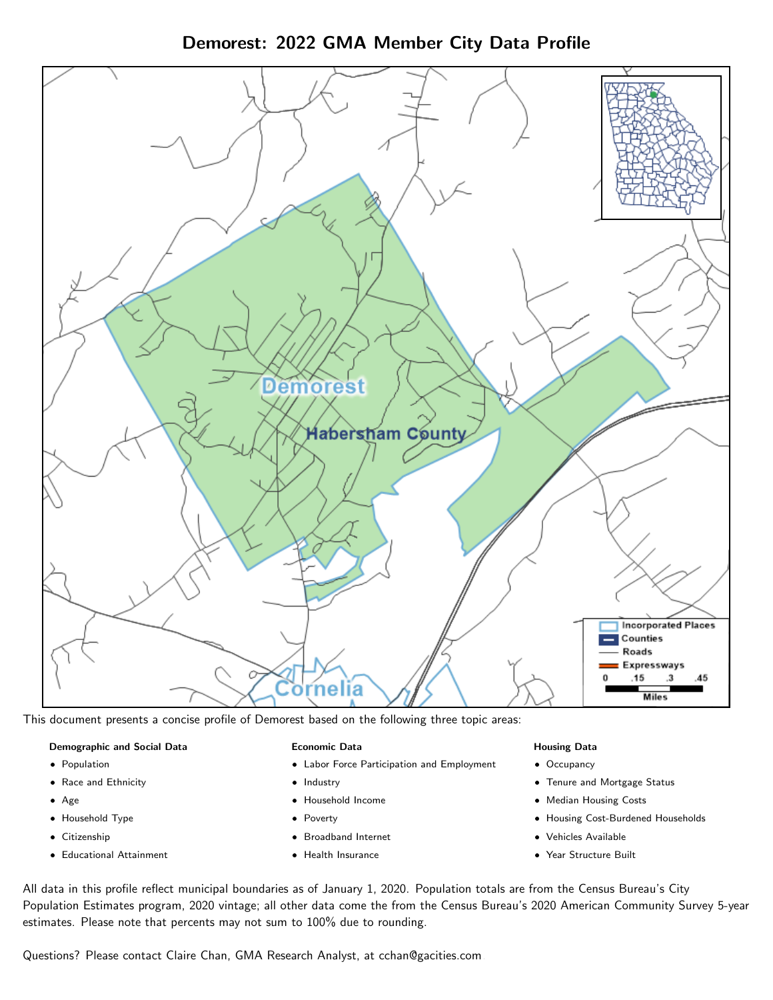Demorest: 2022 GMA Member City Data Profile



This document presents a concise profile of Demorest based on the following three topic areas:

## Demographic and Social Data

- **•** Population
- Race and Ethnicity
- Age
- Household Type
- **Citizenship**
- Educational Attainment

## Economic Data

- Labor Force Participation and Employment
- Industry
- Household Income
- Poverty
- Broadband Internet
- Health Insurance

### Housing Data

- Occupancy
- Tenure and Mortgage Status
- Median Housing Costs
- Housing Cost-Burdened Households
- Vehicles Available
- Year Structure Built

All data in this profile reflect municipal boundaries as of January 1, 2020. Population totals are from the Census Bureau's City Population Estimates program, 2020 vintage; all other data come the from the Census Bureau's 2020 American Community Survey 5-year estimates. Please note that percents may not sum to 100% due to rounding.

Questions? Please contact Claire Chan, GMA Research Analyst, at [cchan@gacities.com.](mailto:cchan@gacities.com)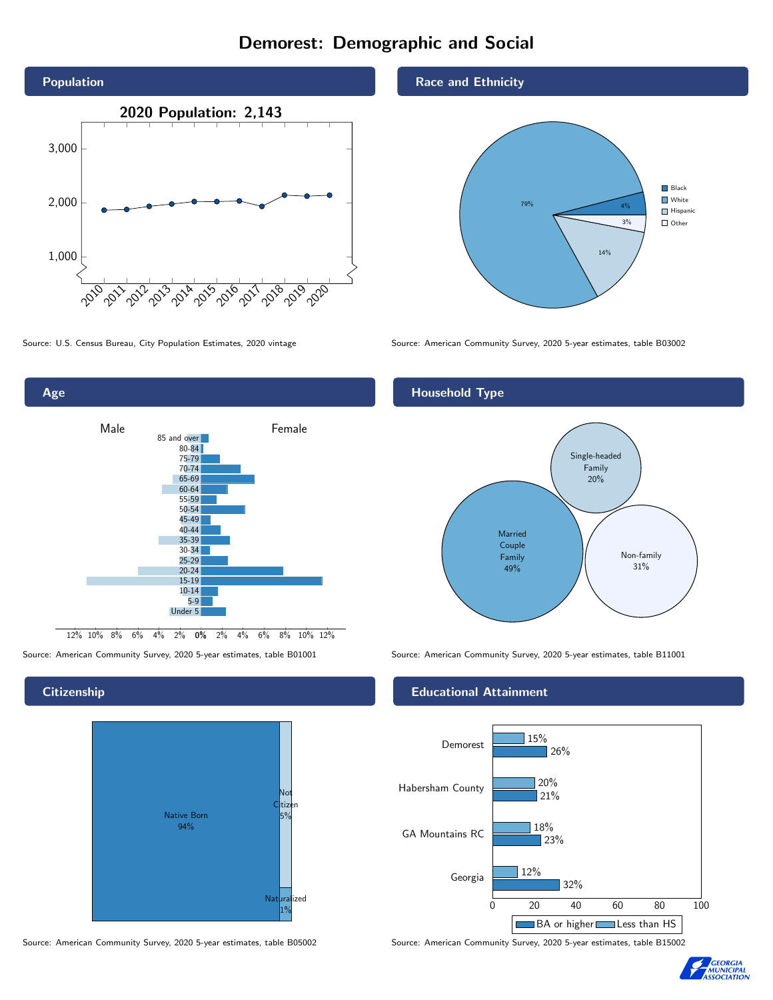# Demorest: Demographic and Social





# **Citizenship**



Source: American Community Survey, 2020 5-year estimates, table B05002 Source: American Community Survey, 2020 5-year estimates, table B15002

# Race and Ethnicity



Source: U.S. Census Bureau, City Population Estimates, 2020 vintage Source: American Community Survey, 2020 5-year estimates, table B03002

# Household Type



Source: American Community Survey, 2020 5-year estimates, table B01001 Source: American Community Survey, 2020 5-year estimates, table B11001

# Educational Attainment



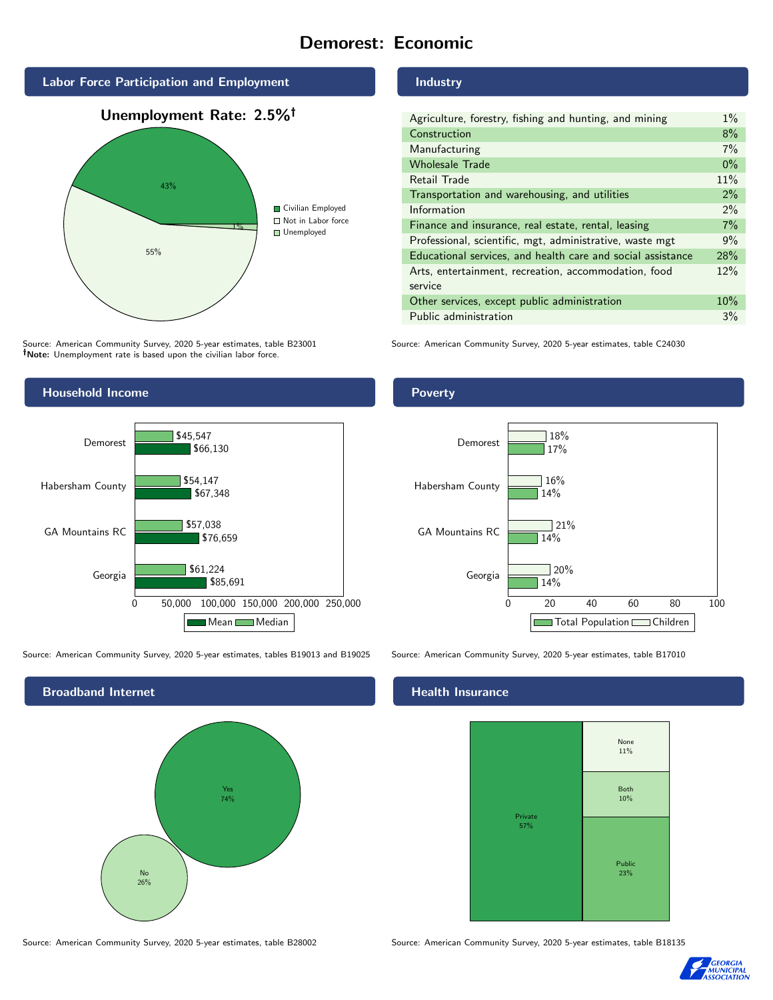# Demorest: Economic



Source: American Community Survey, 2020 5-year estimates, table B23001 Note: Unemployment rate is based upon the civilian labor force.

# Household Income



Source: American Community Survey, 2020 5-year estimates, tables B19013 and B19025 Source: American Community Survey, 2020 5-year estimates, table B17010



#### Source: American Community Survey, 2020 5-year estimates, table B28002 Source: American Community Survey, 2020 5-year estimates, table B18135

### Industry

| Agriculture, forestry, fishing and hunting, and mining      | $1\%$ |
|-------------------------------------------------------------|-------|
| Construction                                                | 8%    |
| Manufacturing                                               | 7%    |
| <b>Wholesale Trade</b>                                      | $0\%$ |
| Retail Trade                                                | 11%   |
| Transportation and warehousing, and utilities               | $2\%$ |
| Information                                                 | $2\%$ |
| Finance and insurance, real estate, rental, leasing         | 7%    |
| Professional, scientific, mgt, administrative, waste mgt    | 9%    |
| Educational services, and health care and social assistance | 28%   |
| Arts, entertainment, recreation, accommodation, food        | 12%   |
| service                                                     |       |
| Other services, except public administration                | 10%   |
| Public administration                                       | 3%    |

Source: American Community Survey, 2020 5-year estimates, table C24030

# Poverty



# Health Insurance